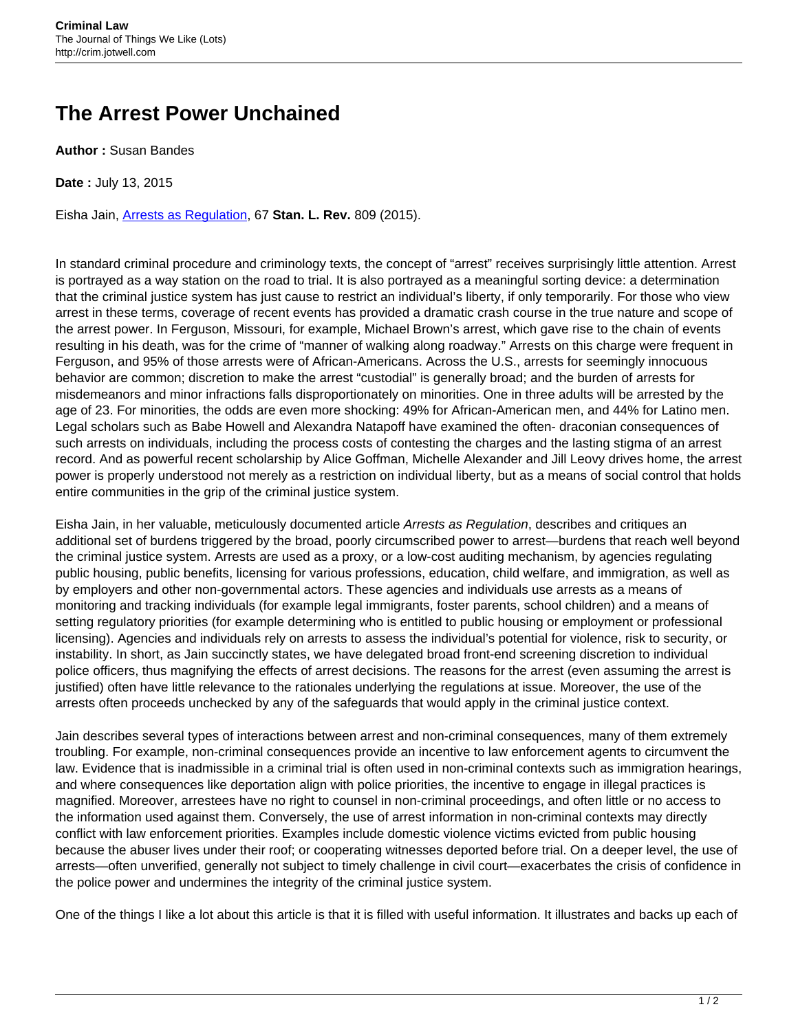## **The Arrest Power Unchained**

**Author :** Susan Bandes

**Date :** July 13, 2015

Eisha Jain, [Arrests as Regulation,](http://scholarship.law.georgetown.edu/cgi/viewcontent.cgi?article=2427&context=facpub) 67 **Stan. L. Rev.** 809 (2015).

In standard criminal procedure and criminology texts, the concept of "arrest" receives surprisingly little attention. Arrest is portrayed as a way station on the road to trial. It is also portrayed as a meaningful sorting device: a determination that the criminal justice system has just cause to restrict an individual's liberty, if only temporarily. For those who view arrest in these terms, coverage of recent events has provided a dramatic crash course in the true nature and scope of the arrest power. In Ferguson, Missouri, for example, Michael Brown's arrest, which gave rise to the chain of events resulting in his death, was for the crime of "manner of walking along roadway." Arrests on this charge were frequent in Ferguson, and 95% of those arrests were of African-Americans. Across the U.S., arrests for seemingly innocuous behavior are common; discretion to make the arrest "custodial" is generally broad; and the burden of arrests for misdemeanors and minor infractions falls disproportionately on minorities. One in three adults will be arrested by the age of 23. For minorities, the odds are even more shocking: 49% for African-American men, and 44% for Latino men. Legal scholars such as Babe Howell and Alexandra Natapoff have examined the often- draconian consequences of such arrests on individuals, including the process costs of contesting the charges and the lasting stigma of an arrest record. And as powerful recent scholarship by Alice Goffman, Michelle Alexander and Jill Leovy drives home, the arrest power is properly understood not merely as a restriction on individual liberty, but as a means of social control that holds entire communities in the grip of the criminal justice system.

Eisha Jain, in her valuable, meticulously documented article Arrests as Regulation, describes and critiques an additional set of burdens triggered by the broad, poorly circumscribed power to arrest—burdens that reach well beyond the criminal justice system. Arrests are used as a proxy, or a low-cost auditing mechanism, by agencies regulating public housing, public benefits, licensing for various professions, education, child welfare, and immigration, as well as by employers and other non-governmental actors. These agencies and individuals use arrests as a means of monitoring and tracking individuals (for example legal immigrants, foster parents, school children) and a means of setting regulatory priorities (for example determining who is entitled to public housing or employment or professional licensing). Agencies and individuals rely on arrests to assess the individual's potential for violence, risk to security, or instability. In short, as Jain succinctly states, we have delegated broad front-end screening discretion to individual police officers, thus magnifying the effects of arrest decisions. The reasons for the arrest (even assuming the arrest is justified) often have little relevance to the rationales underlying the regulations at issue. Moreover, the use of the arrests often proceeds unchecked by any of the safeguards that would apply in the criminal justice context.

Jain describes several types of interactions between arrest and non-criminal consequences, many of them extremely troubling. For example, non-criminal consequences provide an incentive to law enforcement agents to circumvent the law. Evidence that is inadmissible in a criminal trial is often used in non-criminal contexts such as immigration hearings, and where consequences like deportation align with police priorities, the incentive to engage in illegal practices is magnified. Moreover, arrestees have no right to counsel in non-criminal proceedings, and often little or no access to the information used against them. Conversely, the use of arrest information in non-criminal contexts may directly conflict with law enforcement priorities. Examples include domestic violence victims evicted from public housing because the abuser lives under their roof; or cooperating witnesses deported before trial. On a deeper level, the use of arrests—often unverified, generally not subject to timely challenge in civil court—exacerbates the crisis of confidence in the police power and undermines the integrity of the criminal justice system.

One of the things I like a lot about this article is that it is filled with useful information. It illustrates and backs up each of